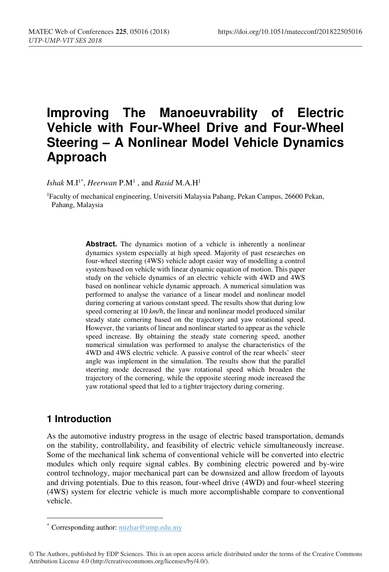# **Improving The Manoeuvrability of Electric Vehicle with Four-Wheel Drive and Four-Wheel Steering – A Nonlinear Model Vehicle Dynamics Approach**

 $Ishak$   $M.I<sup>1*</sup>$ , *Heerwan*  $P.M<sup>1</sup>$ , and *Rasid*  $M.A.H<sup>1</sup>$ 

1Faculty of mechanical engineering, Universiti Malaysia Pahang, Pekan Campus, 26600 Pekan, Pahang, Malaysia

> Abstract. The dynamics motion of a vehicle is inherently a nonlinear dynamics system especially at high speed. Majority of past researches on four-wheel steering (4WS) vehicle adopt easier way of modelling a control system based on vehicle with linear dynamic equation of motion. This paper study on the vehicle dynamics of an electric vehicle with 4WD and 4WS based on nonlinear vehicle dynamic approach. A numerical simulation was performed to analyse the variance of a linear model and nonlinear model during cornering at various constant speed. The results show that during low speed cornering at 10 *km/h*, the linear and nonlinear model produced similar steady state cornering based on the trajectory and yaw rotational speed. However, the variants of linear and nonlinear started to appear as the vehicle speed increase. By obtaining the steady state cornering speed, another numerical simulation was performed to analyse the characteristics of the 4WD and 4WS electric vehicle. A passive control of the rear wheels' steer angle was implement in the simulation. The results show that the parallel steering mode decreased the yaw rotational speed which broaden the trajectory of the cornering, while the opposite steering mode increased the yaw rotational speed that led to a tighter trajectory during cornering.

# **1 Introduction**

-

As the automotive industry progress in the usage of electric based transportation, demands on the stability, controllability, and feasibility of electric vehicle simultaneously increase. Some of the mechanical link schema of conventional vehicle will be converted into electric modules which only require signal cables. By combining electric powered and by-wire control technology, major mechanical part can be downsized and allow freedom of layouts and driving potentials. Due to this reason, four-wheel drive (4WD) and four-wheel steering (4WS) system for electric vehicle is much more accomplishable compare to conventional vehicle.

<sup>\*</sup> Corresponding author: mizhar@ump.edu.my

<sup>©</sup> The Authors, published by EDP Sciences. This is an open access article distributed under the terms of the Creative Commons Attribution License 4.0 (http://creativecommons.org/licenses/by/4.0/).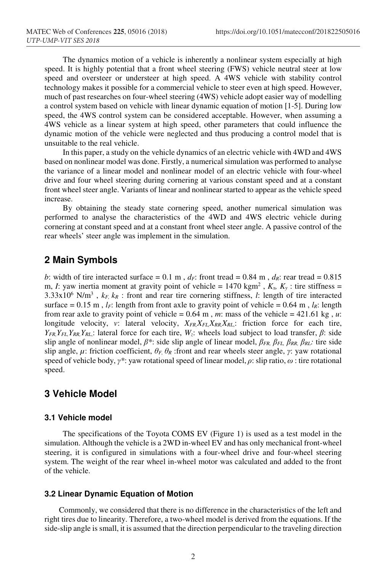The dynamics motion of a vehicle is inherently a nonlinear system especially at high speed. It is highly potential that a front wheel steering (FWS) vehicle neutral steer at low speed and oversteer or understeer at high speed. A 4WS vehicle with stability control technology makes it possible for a commercial vehicle to steer even at high speed. However, much of past researches on four-wheel steering (4WS) vehicle adopt easier way of modelling a control system based on vehicle with linear dynamic equation of motion [1-5]. During low speed, the 4WS control system can be considered acceptable. However, when assuming a 4WS vehicle as a linear system at high speed, other parameters that could influence the dynamic motion of the vehicle were neglected and thus producing a control model that is unsuitable to the real vehicle.

 In this paper, a study on the vehicle dynamics of an electric vehicle with 4WD and 4WS based on nonlinear model was done. Firstly, a numerical simulation was performed to analyse the variance of a linear model and nonlinear model of an electric vehicle with four-wheel drive and four wheel steering during cornering at various constant speed and at a constant front wheel steer angle. Variants of linear and nonlinear started to appear as the vehicle speed increase.

By obtaining the steady state cornering speed, another numerical simulation was performed to analyse the characteristics of the 4WD and 4WS electric vehicle during cornering at constant speed and at a constant front wheel steer angle. A passive control of the rear wheels' steer angle was implement in the simulation.

### **2 Main Symbols**

*b*: width of tire interacted surface = 0.1 m,  $d_F$ : front tread = 0.84 m,  $d_R$ : rear tread = 0.815 m, *I*: yaw inertia moment at gravity point of vehicle =  $1470 \text{ kgm}^2$ ,  $K_x$ ,  $K_y$ : tire stiffness =  $3.33 \times 10^6$  N/m<sup>3</sup>,  $k_F$ ,  $k_R$ : front and rear tire cornering stiffness, *l*: length of tire interacted surface =  $0.15$  m,  $l_F$ : length from front axle to gravity point of vehicle =  $0.64$  m,  $l_R$ : length from rear axle to gravity point of vehicle =  $0.64$  m, *m*: mass of the vehicle =  $421.61$  kg, *u*: longitude velocity, *v*: lateral velocity,  $X_{FR}X_{FL}X_{RR}X_{RL}$ ; friction force for each tire, *YFR,YFL,YRR,YRL*,: lateral force for each tire, *Wz*: wheels load subject to load transfer, *β*: side slip angle of nonlinear model, *β\**: side slip angle of linear model, *βFR, βFL, βRR, βRL:* tire side slip angle,  $\mu$ : friction coefficient,  $\theta_F$ ,  $\theta_R$ ; front and rear wheels steer angle, *γ*: yaw rotational speed of vehicle body, *γ\**: yaw rotational speed of linear model, *ρ*: slip ratio, *ω* : tire rotational speed.

### **3 Vehicle Model**

#### **3.1 Vehicle model**

The specifications of the Toyota COMS EV (Figure 1) is used as a test model in the simulation. Although the vehicle is a 2WD in-wheel EV and has only mechanical front-wheel steering, it is configured in simulations with a four-wheel drive and four-wheel steering system. The weight of the rear wheel in-wheel motor was calculated and added to the front of the vehicle.

#### **3.2 Linear Dynamic Equation of Motion**

Commonly, we considered that there is no difference in the characteristics of the left and right tires due to linearity. Therefore, a two-wheel model is derived from the equations. If the side-slip angle is small, it is assumed that the direction perpendicular to the traveling direction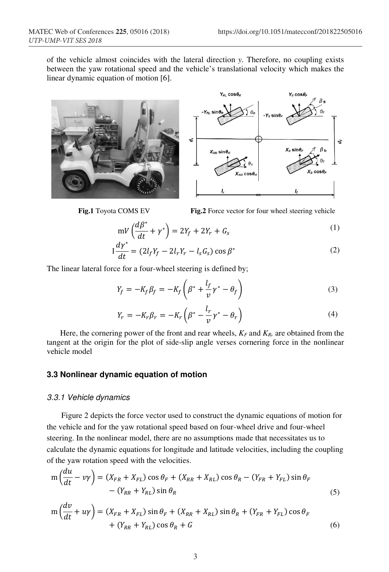of the vehicle almost coincides with the lateral direction *y*. Therefore, no coupling exists between the yaw rotational speed and the vehicle's translational velocity which makes the linear dynamic equation of motion [6].





**Fig.1** Toyota COMS EV **Fig.2** Force vector for four wheel steering vehicle

$$
mV\left(\frac{d\beta^*}{dt} + \gamma^*\right) = 2Y_f + 2Y_r + G_s\tag{1}
$$

$$
I\frac{d\gamma^*}{dt} = (2l_f Y_f - 2l_r Y_r - l_s G_s) \cos \beta^*
$$
 (2)

The linear lateral force for a four-wheel steering is defined by;

$$
Y_f = -K_f \beta_f = -K_f \left( \beta^* + \frac{l_f}{\nu} \gamma^* - \theta_f \right) \tag{3}
$$

$$
Y_r = -K_r \beta_r = -K_r \left( \beta^* - \frac{l_r}{v} \gamma^* - \theta_r \right)
$$
\n<sup>(4)</sup>

Here, the cornering power of the front and rear wheels, *KF* and *KR,* are obtained from the tangent at the origin for the plot of side-slip angle verses cornering force in the nonlinear vehicle model

#### **3.3 Nonlinear dynamic equation of motion**

#### 3.3.1 Vehicle dynamics

Figure 2 depicts the force vector used to construct the dynamic equations of motion for the vehicle and for the yaw rotational speed based on four-wheel drive and four-wheel steering. In the nonlinear model, there are no assumptions made that necessitates us to calculate the dynamic equations for longitude and latitude velocities, including the coupling of the yaw rotation speed with the velocities.

$$
m\left(\frac{du}{dt} - v\gamma\right) = \left(X_{FR} + X_{FL}\right)\cos\theta_F + \left(X_{RR} + X_{RL}\right)\cos\theta_R - \left(Y_{FR} + Y_{FL}\right)\sin\theta_F
$$
  
 
$$
- \left(Y_{RR} + Y_{RL}\right)\sin\theta_R \tag{5}
$$

$$
m\left(\frac{dv}{dt} + u\gamma\right) = \left(X_{FR} + X_{FL}\right)\sin\theta_F + \left(X_{RR} + X_{RL}\right)\sin\theta_R + \left(Y_{FR} + Y_{FL}\right)\cos\theta_F + \left(Y_{RR} + Y_{RL}\right)\cos\theta_R + G\tag{6}
$$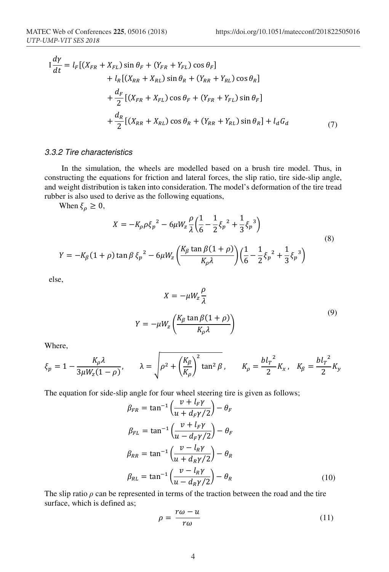$$
I\frac{d\gamma}{dt} = l_F[(X_{FR} + X_{FL})\sin\theta_F + (Y_{FR} + Y_{FL})\cos\theta_F]
$$
  
+  $l_R[(X_{RR} + X_{RL})\sin\theta_R + (Y_{RR} + Y_{RL})\cos\theta_R]$   
+  $\frac{d_F}{2}[(X_{FR} + X_{FL})\cos\theta_F + (Y_{FR} + Y_{FL})\sin\theta_F]$   
+  $\frac{d_R}{2}[(X_{RR} + X_{RL})\cos\theta_R + (Y_{RR} + Y_{RL})\sin\theta_R] + l_dG_d$  (7)

#### 3.3.2 Tire characteristics

In the simulation, the wheels are modelled based on a brush tire model. Thus, in constructing the equations for friction and lateral forces, the slip ratio, tire side-slip angle, and weight distribution is taken into consideration. The model's deformation of the tire tread rubber is also used to derive as the following equations,

When  $\xi_{\rho} \geq 0$ ,

$$
X = -K_{\rho}\rho\xi_{p}^{2} - 6\mu W_{z}\frac{\rho}{\lambda}\left(\frac{1}{6} - \frac{1}{2}\xi_{p}^{2} + \frac{1}{3}\xi_{p}^{3}\right)
$$
  

$$
Y = -K_{\beta}(1+\rho)\tan\beta\xi_{p}^{2} - 6\mu W_{z}\left(\frac{K_{\beta}\tan\beta(1+\rho)}{K_{\rho}\lambda}\right)\left(\frac{1}{6} - \frac{1}{2}\xi_{p}^{2} + \frac{1}{3}\xi_{p}^{3}\right)
$$
(8)

else,

$$
X = -\mu W_z \frac{\rho}{\lambda}
$$
  

$$
Y = -\mu W_z \left( \frac{K_\beta \tan \beta (1 + \rho)}{K_\rho \lambda} \right)
$$
 (9)

Where,

$$
\xi_p = 1 - \frac{K_\rho \lambda}{3\mu W_z (1 - \rho)}, \qquad \lambda = \sqrt{\rho^2 + \left(\frac{K_\beta}{K_\rho}\right)^2 \tan^2 \beta}, \qquad K_\rho = \frac{bl_r^2}{2} K_x, \quad K_\beta = \frac{bl_r^2}{2} K_y
$$

The equation for side-slip angle for four wheel steering tire is given as follows;

$$
\beta_{FR} = \tan^{-1} \left( \frac{v + l_F \gamma}{u + d_F \gamma/2} \right) - \theta_F
$$
  
\n
$$
\beta_{FL} = \tan^{-1} \left( \frac{v + l_F \gamma}{u - d_F \gamma/2} \right) - \theta_F
$$
  
\n
$$
\beta_{RR} = \tan^{-1} \left( \frac{v - l_R \gamma}{u + d_R \gamma/2} \right) - \theta_R
$$
  
\n
$$
\beta_{RL} = \tan^{-1} \left( \frac{v - l_R \gamma}{u - d_R \gamma/2} \right) - \theta_R
$$
\n(10)

The slip ratio  $\rho$  can be represented in terms of the traction between the road and the tire surface, which is defined as;

$$
\rho = \frac{r\omega - u}{r\omega} \tag{11}
$$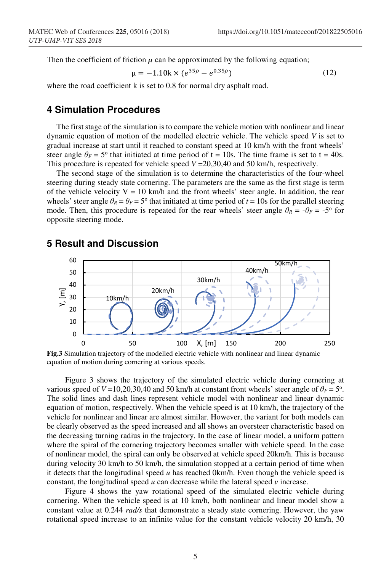Then the coefficient of friction  $\mu$  can be approximated by the following equation;

$$
\mu = -1.10k \times (e^{35\rho} - e^{0.35\rho}) \tag{12}
$$

where the road coefficient k is set to 0.8 for normal dry asphalt road.

## **4 Simulation Procedures**

The first stage of the simulation is to compare the vehicle motion with nonlinear and linear dynamic equation of motion of the modelled electric vehicle. The vehicle speed *V* is set to gradual increase at start until it reached to constant speed at 10 km/h with the front wheels' steer angle  $\theta_F = 5^\circ$  that initiated at time period of t = 10s. The time frame is set to t = 40s. This procedure is repeated for vehicle speed  $V = 20,30,40$  and 50 km/h, respectively.

The second stage of the simulation is to determine the characteristics of the four-wheel steering during steady state cornering. The parameters are the same as the first stage is term of the vehicle velocity  $V = 10$  km/h and the front wheels' steer angle. In addition, the rear wheels' steer angle  $\theta_R = \theta_F = 5^\circ$  that initiated at time period of  $t = 10$ s for the parallel steering mode. Then, this procedure is repeated for the rear wheels' steer angle  $\theta_R = -\theta_F = -5^\circ$  for opposite steering mode.



#### **5 Result and Discussion**

**Fig.3** Simulation trajectory of the modelled electric vehicle with nonlinear and linear dynamic equation of motion during cornering at various speeds.

Figure 3 shows the trajectory of the simulated electric vehicle during cornering at various speed of  $V = 10,20,30,40$  and 50 km/h at constant front wheels' steer angle of  $\theta_F = 5^\circ$ . The solid lines and dash lines represent vehicle model with nonlinear and linear dynamic equation of motion, respectively. When the vehicle speed is at 10 km/h, the trajectory of the vehicle for nonlinear and linear are almost similar. However, the variant for both models can be clearly observed as the speed increased and all shows an oversteer characteristic based on the decreasing turning radius in the trajectory. In the case of linear model, a uniform pattern where the spiral of the cornering trajectory becomes smaller with vehicle speed. In the case of nonlinear model, the spiral can only be observed at vehicle speed 20km/h. This is because during velocity 30 km/h to 50 km/h, the simulation stopped at a certain period of time when it detects that the longitudinal speed  $u$  has reached 0km/h. Even though the vehicle speed is constant, the longitudinal speed *u* can decrease while the lateral speed *v* increase.

Figure 4 shows the yaw rotational speed of the simulated electric vehicle during cornering. When the vehicle speed is at 10 km/h, both nonlinear and linear model show a constant value at 0.244 *rad/s* that demonstrate a steady state cornering. However, the yaw rotational speed increase to an infinite value for the constant vehicle velocity 20 km/h, 30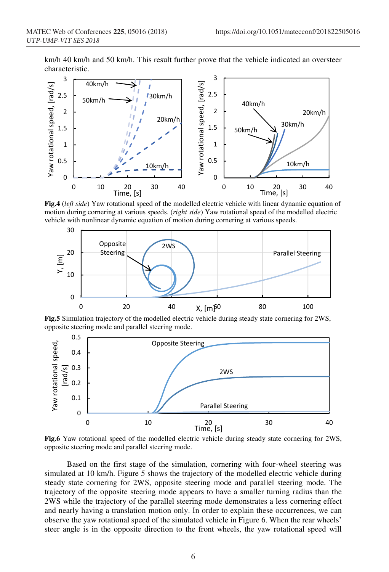km/h 40 km/h and 50 km/h. This result further prove that the vehicle indicated an oversteer characteristic.



**Fig.4** (*left side*) Yaw rotational speed of the modelled electric vehicle with linear dynamic equation of motion during cornering at various speeds. (*right side*) Yaw rotational speed of the modelled electric vehicle with nonlinear dynamic equation of motion during cornering at various speeds.



**Fig.5** Simulation trajectory of the modelled electric vehicle during steady state cornering for 2WS, opposite steering mode and parallel steering mode.



**Fig.6** Yaw rotational speed of the modelled electric vehicle during steady state cornering for 2WS, opposite steering mode and parallel steering mode.

 Based on the first stage of the simulation, cornering with four-wheel steering was simulated at 10 km/h. Figure 5 shows the trajectory of the modelled electric vehicle during steady state cornering for 2WS, opposite steering mode and parallel steering mode. The trajectory of the opposite steering mode appears to have a smaller turning radius than the 2WS while the trajectory of the parallel steering mode demonstrates a less cornering effect and nearly having a translation motion only. In order to explain these occurrences, we can observe the yaw rotational speed of the simulated vehicle in Figure 6. When the rear wheels' steer angle is in the opposite direction to the front wheels, the yaw rotational speed will